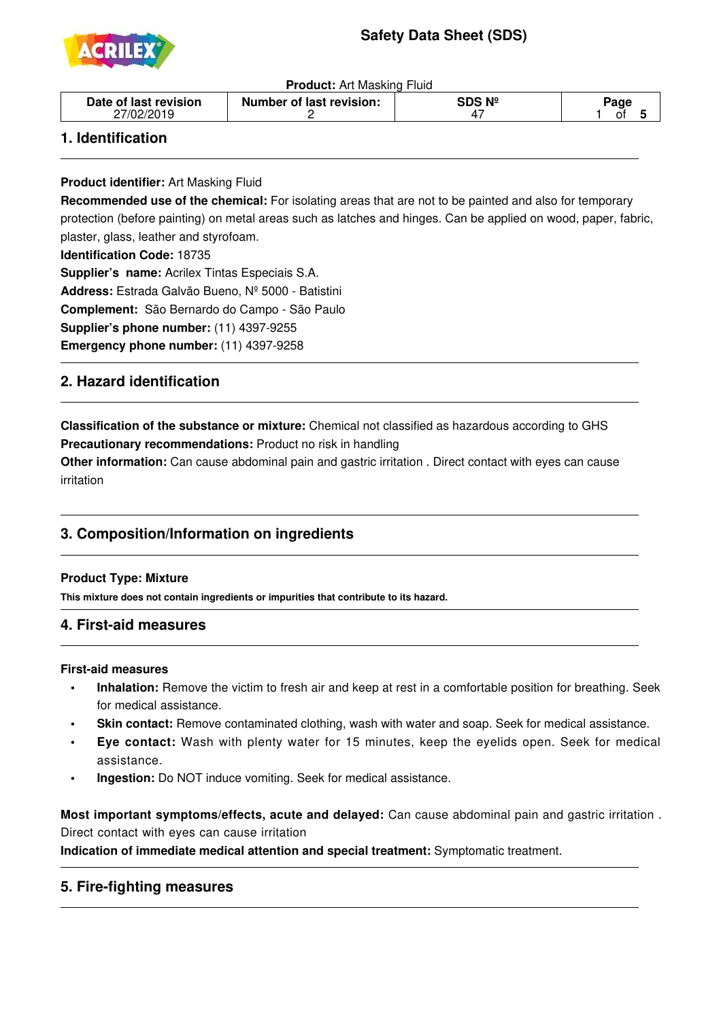

**Product:** Art Masking Fluid

|--|

# **1. Identification**

j

j

j

i<br>I

**Product identifier:** Art Masking Fluid

**Recommended use of the chemical:** For isolating areas that are not to be painted and also for temporary protection (before painting) on metal areas such as latches and hinges. Can be applied on wood, paper, fabric, plaster, glass, leather and styrofoam.

**Identification Code:** 18735

**Supplier's name:** Acrilex Tintas Especiais S.A. **Address:** Estrada Galvão Bueno, Nº 5000 - Batistini **Complement:** São Bernardo do Campo - São Paulo **Supplier's phone number:** (11) 4397-9255 **Emergency phone number:** (11) 4397-9258

# **2. Hazard identification**

**Classification of the substance or mixture:** Chemical not classified as hazardous according to GHS **Precautionary recommendations:** Product no risk in handling

**Other information:** Can cause abdominal pain and gastric irritation . Direct contact with eyes can cause irritation

# **3. Composition/Information on ingredients**

#### **Product Type: Mixture**

**This mixture does not contain ingredients or impurities that contribute to its hazard.**

## **4. First-aid measures**

#### **First-aid measures**

- **• Inhalation:** Remove the victim to fresh air and keep at rest in a comfortable position for breathing. Seek for medical assistance.
- **Skin contact:** Remove contaminated clothing, wash with water and soap. Seek for medical assistance.
- **• Eye contact:** Wash with plenty water for 15 minutes, keep the eyelids open. Seek for medical assistance.
- **Ingestion:** Do NOT induce vomiting. Seek for medical assistance.

**Most important symptoms/effects, acute and delayed:** Can cause abdominal pain and gastric irritation . Direct contact with eyes can cause irritation

**Indication of immediate medical attention and special treatment:** Symptomatic treatment.

# **5. Fire-fighting measures**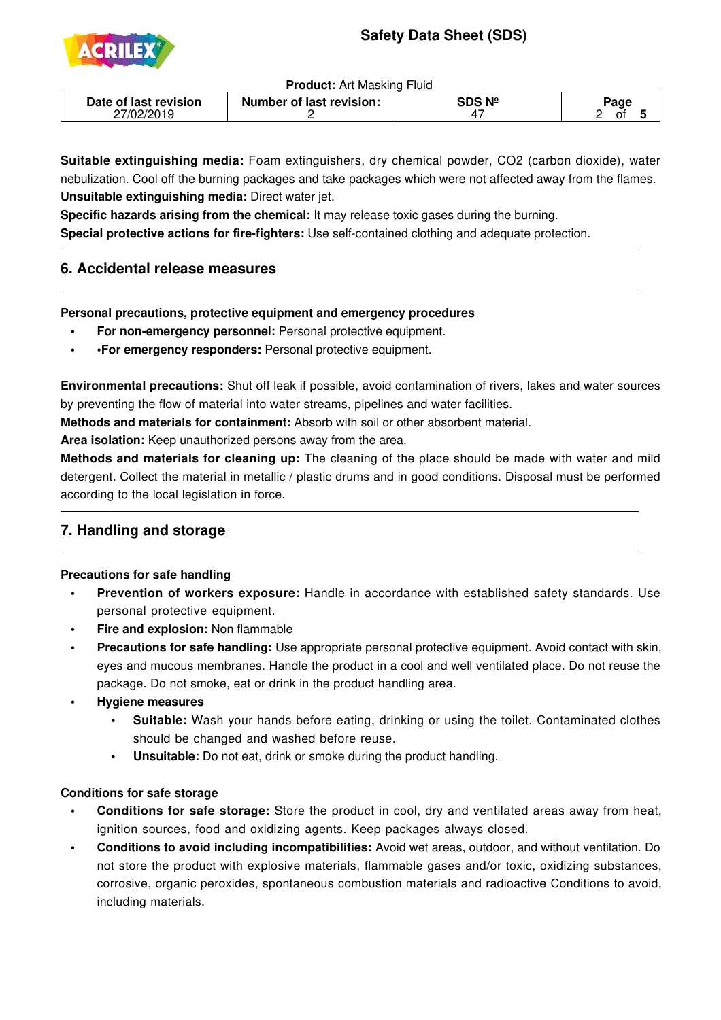

j

j

**Product:** Art Masking Fluid

| Οt |
|----|
|----|

**Suitable extinguishing media:** Foam extinguishers, dry chemical powder, CO2 (carbon dioxide), water nebulization. Cool off the burning packages and take packages which were not affected away from the flames. **Unsuitable extinguishing media:** Direct water jet.

Specific hazards arising from the chemical: It may release toxic gases during the burning. **Special protective actions for fire-fighters:** Use self-contained clothing and adequate protection.

# **6. Accidental release measures**

### **Personal precautions, protective equipment and emergency procedures**

- **For non-emergency personnel:** Personal protective equipment.
- **• •For emergency responders:** Personal protective equipment.

**Environmental precautions:** Shut off leak if possible, avoid contamination of rivers, lakes and water sources by preventing the flow of material into water streams, pipelines and water facilities.

**Methods and materials for containment:** Absorb with soil or other absorbent material.

**Area isolation:** Keep unauthorized persons away from the area.

**Methods and materials for cleaning up:** The cleaning of the place should be made with water and mild detergent. Collect the material in metallic / plastic drums and in good conditions. Disposal must be performed according to the local legislation in force.

# **7. Handling and storage**

#### **Precautions for safe handling**

- **•** Prevention of workers exposure: Handle in accordance with established safety standards. Use personal protective equipment.
- **Fire and explosion:** Non flammable
- Precautions for safe handling: Use appropriate personal protective equipment. Avoid contact with skin, eyes and mucous membranes. Handle the product in a cool and well ventilated place. Do not reuse the package. Do not smoke, eat or drink in the product handling area.
- **• Hygiene measures**
	- **Suitable:** Wash your hands before eating, drinking or using the toilet. Contaminated clothes should be changed and washed before reuse.
	- **Unsuitable:** Do not eat, drink or smoke during the product handling.

#### **Conditions for safe storage**

- **• Conditions for safe storage:** Store the product in cool, dry and ventilated areas away from heat, ignition sources, food and oxidizing agents. Keep packages always closed.
- **• Conditions to avoid including incompatibilities:** Avoid wet areas, outdoor, and without ventilation. Do not store the product with explosive materials, flammable gases and/or toxic, oxidizing substances, corrosive, organic peroxides, spontaneous combustion materials and radioactive Conditions to avoid, including materials.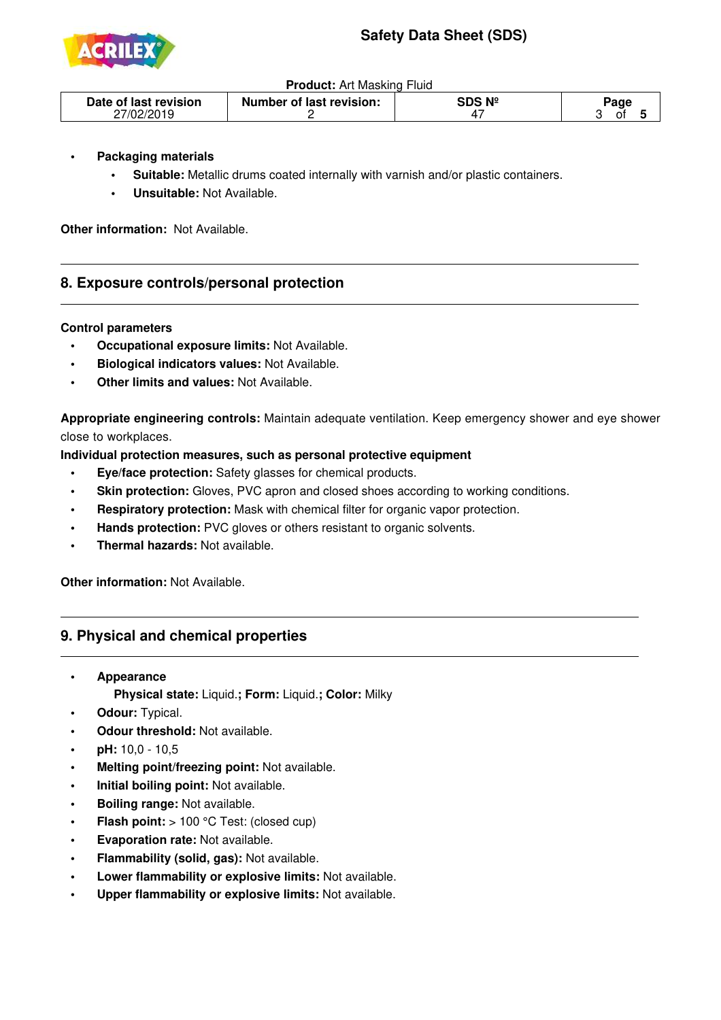

**Product:** Art Masking Fluid

| Date of last revision<br>27/02/2019 | <b>Number of last revision:</b> | SDS Nº | $\mathsf{a}$ age<br>~<br>ບ |
|-------------------------------------|---------------------------------|--------|----------------------------|
|-------------------------------------|---------------------------------|--------|----------------------------|

- **Packaging materials** 
	- **Suitable:** Metallic drums coated internally with varnish and/or plastic containers.
	- **Unsuitable: Not Available.**

**Other information: Not Available.** 

## **8. Exposure controls/personal protection**

#### **Control parameters**

j

- **Occupational exposure limits: Not Available.**
- **• Biological indicators values:** Not Available.
- **Other limits and values: Not Available.**

**Appropriate engineering controls:** Maintain adequate ventilation. Keep emergency shower and eye shower close to workplaces.

**Individual protection measures, such as personal protective equipment**

- **• Eye/face protection:** Safety glasses for chemical products.
- **Skin protection:** Gloves, PVC apron and closed shoes according to working conditions.
- **Respiratory protection:** Mask with chemical filter for organic vapor protection.
- **Hands protection:** PVC gloves or others resistant to organic solvents.
- **Thermal hazards: Not available.**

**Other information:** Not Available.

## **9. Physical and chemical properties**

**•** Appearance

ī

- **Physical state:** Liquid.**; Form:** Liquid.**; Color:** Milky
- **Odour: Typical.**
- **Odour threshold:** Not available.
- **pH:** 10,0 10,5
- **Melting point/freezing point: Not available.**
- **Initial boiling point: Not available.**
- **Boiling range: Not available.**
- **Flash point:** > 100 °C Test: (closed cup)
- **Evaporation rate: Not available.**
- **• Flammability (solid, gas):** Not available.
- **• Lower flammability or explosive limits:** Not available.
- **• Upper flammability or explosive limits:** Not available.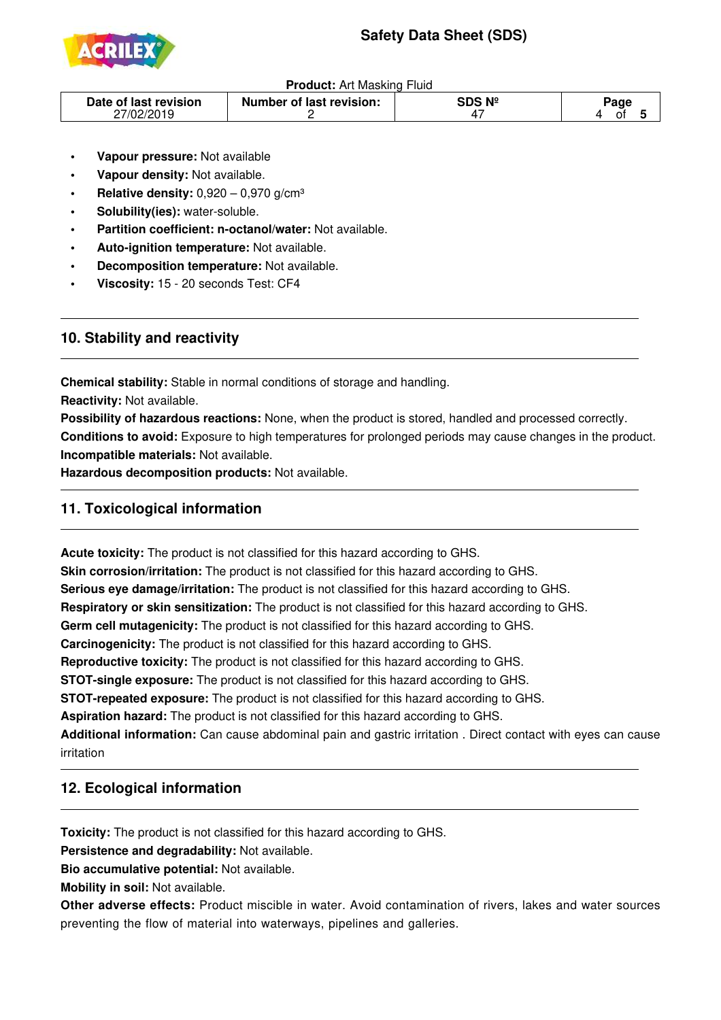

#### **Product:** Art Masking Fluid

| SDS Nº<br>Date of last revision<br><b>Number of last revision:</b><br><sup>o</sup> ag<br>27/02/2019 |
|-----------------------------------------------------------------------------------------------------|
|-----------------------------------------------------------------------------------------------------|

- **Vapour pressure:** Not available
- **Vapour density: Not available.**
- **Relative density:** 0,920 0,970 g/cm<sup>3</sup>
- **Solubility(ies):** water-soluble.
- Partition coefficient: n-octanol/water: Not available.
- **Auto-ignition temperature:** Not available.
- **Decomposition temperature:** Not available.
- **Viscosity: 15 20 seconds Test: CF4**

## **10. Stability and reactivity**

**Chemical stability:** Stable in normal conditions of storage and handling.

**Reactivity:** Not available.

j

j

j

ī

**Possibility of hazardous reactions:** None, when the product is stored, handled and processed correctly. **Conditions to avoid:** Exposure to high temperatures for prolonged periods may cause changes in the product. **Incompatible materials:** Not available.

**Hazardous decomposition products:** Not available.

## **11. Toxicological information**

**Acute toxicity:** The product is not classified for this hazard according to GHS.

**Skin corrosion/irritation:** The product is not classified for this hazard according to GHS.

**Serious eye damage/irritation:** The product is not classified for this hazard according to GHS.

**Respiratory or skin sensitization:** The product is not classified for this hazard according to GHS.

**Germ cell mutagenicity:** The product is not classified for this hazard according to GHS.

**Carcinogenicity:** The product is not classified for this hazard according to GHS.

**Reproductive toxicity:** The product is not classified for this hazard according to GHS.

**STOT-single exposure:** The product is not classified for this hazard according to GHS.

**STOT-repeated exposure:** The product is not classified for this hazard according to GHS.

**Aspiration hazard:** The product is not classified for this hazard according to GHS.

**Additional information:** Can cause abdominal pain and gastric irritation . Direct contact with eyes can cause irritation

# **12. Ecological information**

**Toxicity:** The product is not classified for this hazard according to GHS.

**Persistence and degradability:** Not available.

**Bio accumulative potential:** Not available.

**Mobility in soil:** Not available.

**Other adverse effects:** Product miscible in water. Avoid contamination of rivers, lakes and water sources preventing the flow of material into waterways, pipelines and galleries.